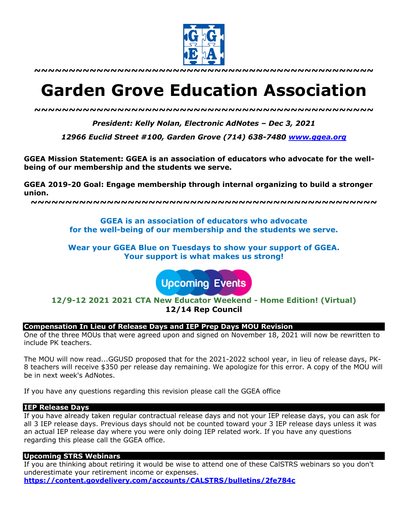

**~~~~~~~~~~~~~~~~~~~~~~~~~~~~~~~~~~~~~~~~~~~~~~~~~**

# **Garden Grove Education Association**

*~~~~~~~~~~~~~~~~~~~~~~~~~~~~~~~~~~~~~~~~~~~~~~~~~*

*President: Kelly Nolan, Electronic AdNotes – Dec 3, 2021*

*12966 Euclid Street #100, Garden Grove (714) 638-7480 www.ggea.org*

**GGEA Mission Statement: GGEA is an association of educators who advocate for the wellbeing of our membership and the students we serve.** 

**GGEA 2019-20 Goal: Engage membership through internal organizing to build a stronger union.**

**~~~~~~~~~~~~~~~~~~~~~~~~~~~~~~~~~~~~~~~~~~~~~~~~~~**

**GGEA is an association of educators who advocate for the well-being of our membership and the students we serve.**

**Wear your GGEA Blue on Tuesdays to show your support of GGEA. Your support is what makes us strong!**

**Upcoming Events** 

**12/9-12 2021 2021 CTA New Educator Weekend - Home Edition! (Virtual) 12/14 Rep Council**

## **Compensation In Lieu of Release Days and IEP Prep Days MOU Revision**

One of the three MOUs that were agreed upon and signed on November 18, 2021 will now be rewritten to include PK teachers.

The MOU will now read...GGUSD proposed that for the 2021-2022 school year, in lieu of release days, PK-8 teachers will receive \$350 per release day remaining. We apologize for this error. A copy of the MOU will be in next week's AdNotes.

If you have any questions regarding this revision please call the GGEA office

#### **IEP Release Days**

If you have already taken regular contractual release days and not your IEP release days, you can ask for all 3 IEP release days. Previous days should not be counted toward your 3 IEP release days unless it was an actual IEP release day where you were only doing IEP related work. If you have any questions regarding this please call the GGEA office.

#### **Upcoming STRS Webinars**

If you are thinking about retiring it would be wise to attend one of these CalSTRS webinars so you don't underestimate your retirement income or expenses.

**https://content.govdelivery.com/accounts/CALSTRS/bulletins/2fe784c**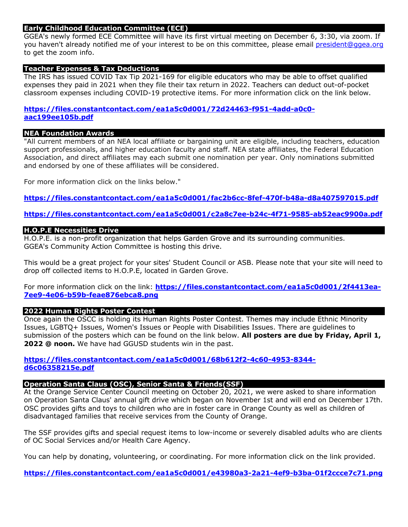#### **Early Childhood Education Committee (ECE)**

GGEA's newly formed ECE Committee will have its first virtual meeting on December 6, 3:30, via zoom. If you haven't already notified me of your interest to be on this committee, please email president@ggea.org to get the zoom info.

#### **Teacher Expenses & Tax Deductions**

The IRS has issued COVID Tax Tip 2021-169 for eligible educators who may be able to offset qualified expenses they paid in 2021 when they file their tax return in 2022. Teachers can deduct out-of-pocket classroom expenses including COVID-19 protective items. For more information click on the link below.

**https://files.constantcontact.com/ea1a5c0d001/72d24463-f951-4add-a0c0 aac199ee105b.pdf**

## **NEA Foundation Awards**

"All current members of an NEA local affiliate or bargaining unit are eligible, including teachers, education support professionals, and higher education faculty and staff. NEA state affiliates, the Federal Education Association, and direct affiliates may each submit one nomination per year. Only nominations submitted and endorsed by one of these affiliates will be considered.

For more information click on the links below."

**https://files.constantcontact.com/ea1a5c0d001/fac2b6cc-8fef-470f-b48a-d8a407597015.pdf**

## **https://files.constantcontact.com/ea1a5c0d001/c2a8c7ee-b24c-4f71-9585-ab52eac9900a.pdf**

#### **H.O.P.E Necessities Drive**

H.O.P.E. is a non-profit organization that helps Garden Grove and its surrounding communities. GGEA's Community Action Committee is hosting this drive.

This would be a great project for your sites' Student Council or ASB. Please note that your site will need to drop off collected items to H.O.P.E, located in Garden Grove.

For more information click on the link: **https://files.constantcontact.com/ea1a5c0d001/2f4413ea-7ee9-4e06-b59b-feae876ebca8.png**

## **2022 Human Rights Poster Contest**

Once again the OSCC is holding its Human Rights Poster Contest. Themes may include Ethnic Minority Issues, LGBTQ+ Issues, Women's Issues or People with Disabilities Issues. There are guidelines to submission of the posters which can be found on the link below. **All posters are due by Friday, April 1, 2022 @ noon.** We have had GGUSD students win in the past.

## **https://files.constantcontact.com/ea1a5c0d001/68b612f2-4c60-4953-8344 d6c06358215e.pdf**

## **Operation Santa Claus (OSC), Senior Santa & Friends(SSF)**

At the Orange Service Center Council meeting on October 20, 2021, we were asked to share information on Operation Santa Claus' annual gift drive which began on November 1st and will end on December 17th. OSC provides gifts and toys to children who are in foster care in Orange County as well as children of disadvantaged families that receive services from the County of Orange.

The SSF provides gifts and special request items to low-income or severely disabled adults who are clients of OC Social Services and/or Health Care Agency.

You can help by donating, volunteering, or coordinating. For more information click on the link provided.

**https://files.constantcontact.com/ea1a5c0d001/e43980a3-2a21-4ef9-b3ba-01f2ccce7c71.png**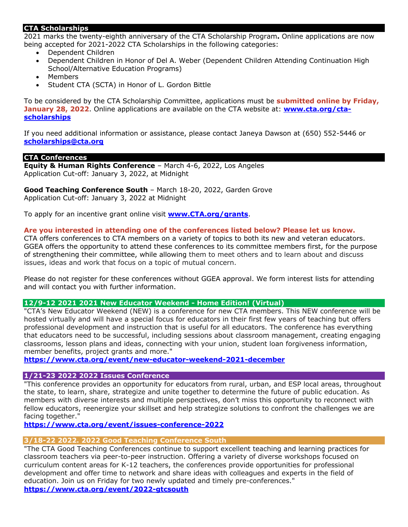## **CTA Scholarships**

2021 marks the twenty-eighth anniversary of the CTA Scholarship Program**.** Online applications are now being accepted for 2021-2022 CTA Scholarships in the following categories:

- Dependent Children
- Dependent Children in Honor of Del A. Weber (Dependent Children Attending Continuation High School/Alternative Education Programs)
- Members
- Student CTA (SCTA) in Honor of L. Gordon Bittle

To be considered by the CTA Scholarship Committee, applications must be **submitted online by Friday, January 28, 2022**. Online applications are available on the CTA website at: **www.cta.org/ctascholarships**

If you need additional information or assistance, please contact Janeya Dawson at (650) 552-5446 or **scholarships@cta.org**

#### **CTA Conferences**

**Equity & Human Rights Conference** – March 4-6, 2022, Los Angeles Application Cut-off: January 3, 2022, at Midnight

**Good Teaching Conference South** – March 18-20, 2022, Garden Grove Application Cut-off: January 3, 2022 at Midnight

To apply for an incentive grant online visit **www.CTA.org/grants**.

## **Are you interested in attending one of the conferences listed below? Please let us know.**

CTA offers conferences to CTA members on a variety of topics to both its new and veteran educators. GGEA offers the opportunity to attend these conferences to its committee members first, for the purpose of strengthening their committee, while allowing them to meet others and to learn about and discuss issues, ideas and work that focus on a topic of mutual concern.

Please do not register for these conferences without GGEA approval. We form interest lists for attending and will contact you with further information.

#### **12/9-12 2021 2021 New Educator Weekend - Home Edition! (Virtual)**

"CTA's New Educator Weekend (NEW) is a conference for new CTA members. This NEW conference will be hosted virtually and will have a special focus for educators in their first few years of teaching but offers professional development and instruction that is useful for all educators. The conference has everything that educators need to be successful, including sessions about classroom management, creating engaging classrooms, lesson plans and ideas, connecting with your union, student loan forgiveness information, member benefits, project grants and more."

## **https://www.cta.org/event/new-educator-weekend-2021-december**

#### **1/21-23 2022 2022 Issues Conference**

"This conference provides an opportunity for educators from rural, urban, and ESP local areas, throughout the state, to learn, share, strategize and unite together to determine the future of public education. As members with diverse interests and multiple perspectives, don't miss this opportunity to reconnect with fellow educators, reenergize your skillset and help strategize solutions to confront the challenges we are facing together."

**https://www.cta.org/event/issues-conference-2022**

#### **3/18-22 2022. 2022 Good Teaching Conference South**

"The CTA Good Teaching Conferences continue to support excellent teaching and learning practices for classroom teachers via peer-to-peer instruction. Offering a variety of diverse workshops focused on curriculum content areas for K-12 teachers, the conferences provide opportunities for professional development and offer time to network and share ideas with colleagues and experts in the field of education. Join us on Friday for two newly updated and timely pre-conferences." **https://www.cta.org/event/2022-gtcsouth**